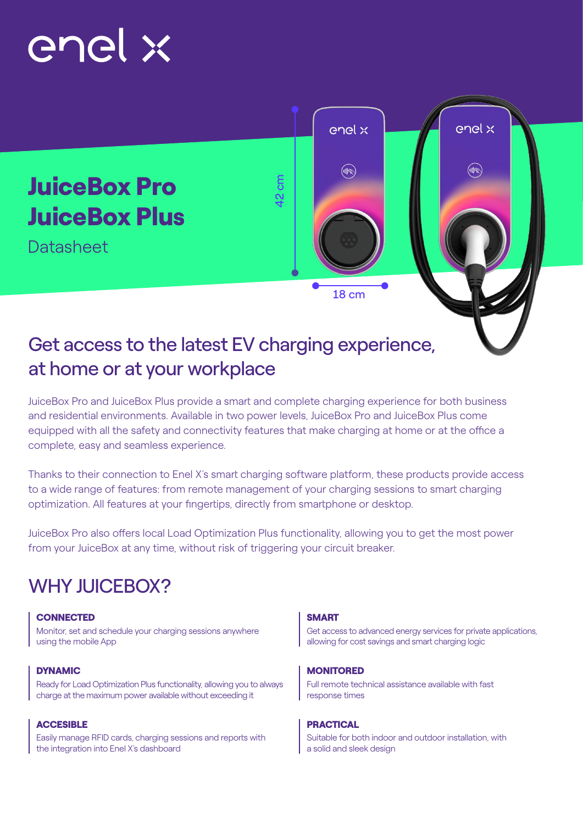# enel x



## Get access to the latest EV charging experience, at home or at your workplace

JuiceBox Pro and JuiceBox Plus provide a smart and complete charging experience for both business and residential environments. Available in two power levels, JuiceBox Pro and JuiceBox Plus come equipped with all the safety and connectivity features that make charging at home or at the office a complete, easy and seamless experience.

Thanks to their connection to Enel X's smart charging software platform, these products provide access to a wide range of features: from remote management of your charging sessions to smart charging optimization. All features at your fingertips, directly from smartphone or desktop.

JuiceBox Pro also offers local Load Optimization Plus functionality, allowing you to get the most power from your JuiceBox at any time, without risk of triggering your circuit breaker.

# WHY **JUICEBOX?**

#### CONNECTED SMART

Monitor, set and schedule your charging sessions anywhere using the mobile App

Ready for Load Optimization Plus functionality, allowing you to always charge at the maximum power available without exceeding it

#### ACCESIBLE **PRACTICAL**

Easily manage RFID cards, charging sessions and reports with the integration into Enel X's dashboard

Get access to advanced energy services for private applications, allowing for cost savings and smart charging logic

#### DYNAMIC **MONITORED**

Full remote technical assistance available with fast response times

Suitable for both indoor and outdoor installation, with a solid and sleek design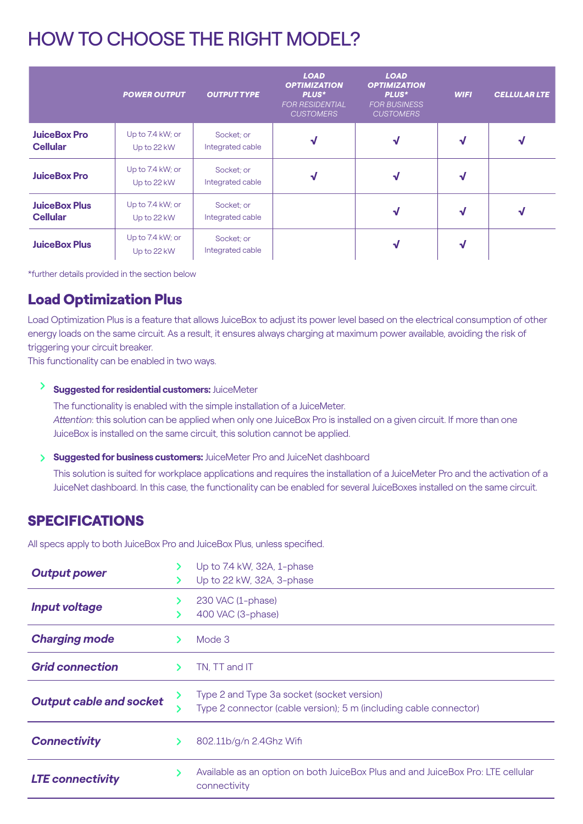# HOW TO CHOOSE THE RIGHT MODEL?

|                                         | <b>POWER OUTPUT</b>             | <b>OUTPUT TYPE</b>             | <b>LOAD</b><br><b>OPTIMIZATION</b><br>PLUS*<br>FOR RESIDENTIAL<br><b>CUSTOMERS</b> | <b>LOAD</b><br><b>OPTIMIZATION</b><br>PLUS*<br><b>FOR BUSINESS</b><br><b>CUSTOMERS</b> | <b>WIFI</b> | <b>CELLULAR LTE</b> |
|-----------------------------------------|---------------------------------|--------------------------------|------------------------------------------------------------------------------------|----------------------------------------------------------------------------------------|-------------|---------------------|
| <b>JuiceBox Pro</b><br><b>Cellular</b>  | Up to 7.4 kW; or<br>Up to 22 kW | Socket; or<br>Integrated cable | √                                                                                  |                                                                                        | ₩           |                     |
| <b>JuiceBox Pro</b>                     | Up to 7.4 kW; or<br>Up to 22 kW | Socket; or<br>Integrated cable | √                                                                                  | V                                                                                      | V           |                     |
| <b>JuiceBox Plus</b><br><b>Cellular</b> | Up to 7.4 kW; or<br>Up to 22 kW | Socket; or<br>Integrated cable |                                                                                    | √                                                                                      | V           | V                   |
| <b>JuiceBox Plus</b>                    | Up to 7.4 kW; or<br>Up to 22 kW | Socket; or<br>Integrated cable |                                                                                    |                                                                                        | W           |                     |

\*further details provided in the section below

## Load Optimization Plus

Load Optimization Plus is a feature that allows JuiceBox to adjust its power level based on the electrical consumption of other energy loads on the same circuit. As a result, it ensures always charging at maximum power available, avoiding the risk of triggering your circuit breaker.

This functionality can be enabled in two ways.

### **Suggested for residential customers:** JuiceMeter

The functionality is enabled with the simple installation of a JuiceMeter. *Attention*: this solution can be applied when only one JuiceBox Pro is installed on a given circuit. If more than one JuiceBox is installed on the same circuit, this solution cannot be applied.

**Suggested for business customers:** JuiceMeter Pro and JuiceNet dashboard

This solution is suited for workplace applications and requires the installation of a JuiceMeter Pro and the activation of a JuiceNet dashboard. In this case, the functionality can be enabled for several JuiceBoxes installed on the same circuit.

## SPECIFICATIONS

All specs apply to both JuiceBox Pro and JuiceBox Plus, unless specified.

| <b>Output power</b>            |  | Up to 7.4 kW, 32A, 1-phase<br>Up to 22 kW, 32A, 3-phase                                                         |  |
|--------------------------------|--|-----------------------------------------------------------------------------------------------------------------|--|
| <b>Input voltage</b>           |  | 230 VAC (1-phase)<br>400 VAC (3-phase)                                                                          |  |
| <b>Charging mode</b>           |  | Mode 3                                                                                                          |  |
| <b>Grid connection</b>         |  | TN. TT and IT                                                                                                   |  |
| <b>Output cable and socket</b> |  | Type 2 and Type 3a socket (socket version)<br>Type 2 connector (cable version); 5 m (including cable connector) |  |
| <b>Connectivity</b>            |  | 802.11b/g/n 2.4Ghz Wifi                                                                                         |  |
| <b>LTE connectivity</b>        |  | Available as an option on both JuiceBox Plus and and JuiceBox Pro: LTE cellular<br>connectivity                 |  |